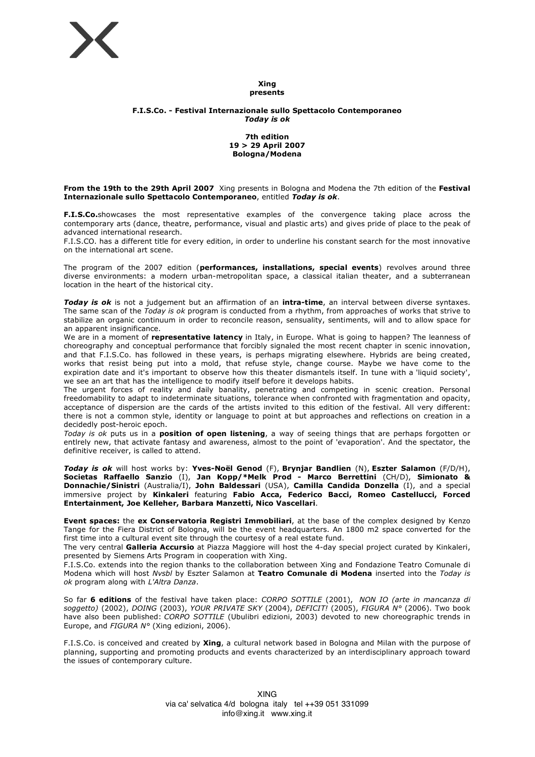

#### **Xing presents**

# **F.I.S.Co. - Festival Internazionale sullo Spettacolo Contemporaneo** *Today is ok*

#### **7th edition 19 > 29 April 2007 Bologna/Modena**

**From the 19th to the 29th April 2007** Xing presents in Bologna and Modena the 7th edition of the **Festival Internazionale sullo Spettacolo Contemporaneo**, entitled *Today is ok*.

**F.I.S.Co.**showcases the most representative examples of the convergence taking place across the contemporary arts (dance, theatre, performance, visual and plastic arts) and gives pride of place to the peak of advanced international research.

F.I.S.CO. has a different title for every edition, in order to underline his constant search for the most innovative on the international art scene.

The program of the 2007 edition (**performances, installations, special events**) revolves around three diverse environments: a modern urban-metropolitan space, a classical italian theater, and a subterranean location in the heart of the historical city.

*Today is ok* is not a judgement but an affirmation of an **intra-time**, an interval between diverse syntaxes. The same scan of the *Today is ok* program is conducted from a rhythm, from approaches of works that strive to stabilize an organic continuum in order to reconcile reason, sensuality, sentiments, will and to allow space for an apparent insignificance.

We are in a moment of **representative latency** in Italy, in Europe. What is going to happen? The leanness of choreography and conceptual performance that forcibly signaled the most recent chapter in scenic innovation, and that F.I.S.Co. has followed in these years, is perhaps migrating elsewhere. Hybrids are being created, works that resist being put into a mold, that refuse style, change course. Maybe we have come to the expiration date and it's important to observe how this theater dismantels itself. In tune with a 'liquid society', we see an art that has the intelligence to modify itself before it develops habits.

The urgent forces of reality and daily banality, penetrating and competing in scenic creation. Personal freedomability to adapt to indeterminate situations, tolerance when confronted with fragmentation and opacity, acceptance of dispersion are the cards of the artists invited to this edition of the festival. All very different: there is not a common style, identity or language to point at but approaches and reflections on creation in a decidedly post-heroic epoch.

*Today is ok* puts us in a **position of open listening**, a way of seeing things that are perhaps forgotten or entlrely new, that activate fantasy and awareness, almost to the point of 'evaporation'. And the spectator, the definitive receiver, is called to attend.

*Today is ok* will host works by: **Yves-Noël Genod** (F), **Brynjar Bandlien** (N), **Eszter Salamon** (F/D/H), **Societas Raffaello Sanzio** (I), **Jan Kopp/\*Melk Prod - Marco Berrettini** (CH/D), **Simionato & Donnachie/Sinistri** (Australia/I), **John Baldessari** (USA), **Camilla Candida Donzella** (I), and a special immersive project by **Kinkaleri** featuring **Fabio Acca, Federico Bacci, Romeo Castellucci, Forced Entertainment, Joe Kelleher, Barbara Manzetti, Nico Vascellari**.

**Event spaces:** the **ex Conservatoria Registri Immobiliari**, at the base of the complex designed by Kenzo Tange for the Fiera District of Bologna, will be the event headquarters. An 1800 m2 space converted for the first time into a cultural event site through the courtesy of a real estate fund.

The very central **Galleria Accursio** at Piazza Maggiore will host the 4-day special project curated by Kinkaleri, presented by Siemens Arts Program in cooperation with Xing.

F.I.S.Co. extends into the region thanks to the collaboration between Xing and Fondazione Teatro Comunale di Modena which will host *Nvsbl* by Eszter Salamon at **Teatro Comunale di Modena** inserted into the *Today is ok* program along with *L'Altra Danza*.

So far **6 editions** of the festival have taken place: *CORPO SOTTILE* (2001), *NON IO (arte in mancanza di soggetto)* (2002), *DOING* (2003), *YOUR PRIVATE SKY* (2004), *DEFICIT!* (2005), *FIGURA N°* (2006). Two book have also been published: *CORPO SOTTILE* (Ubulibri edizioni, 2003) devoted to new choreographic trends in Europe, and *FIGURA N°* (Xing edizioni, 2006).

F.I.S.Co. is conceived and created by **Xing**, a cultural network based in Bologna and Milan with the purpose of planning, supporting and promoting products and events characterized by an interdisciplinary approach toward the issues of contemporary culture.

> XING via ca' selvatica 4/d bologna italy tel ++39 051 331099 info@xing.it www.xing.it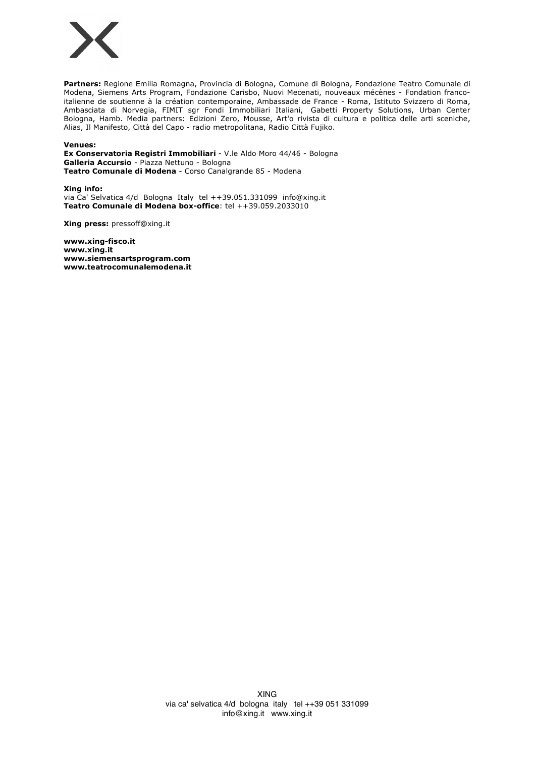

**Partners:** Regione Emilia Romagna, Provincia di Bologna, Comune di Bologna, Fondazione Teatro Comunale di Modena, Siemens Arts Program, Fondazione Carisbo, Nuovi Mecenati, nouveaux mécènes - Fondation francoitalienne de soutienne à la création contemporaine, Ambassade de France - Roma, Istituto Svizzero di Roma, Ambasciata di Norvegia, FIMIT sgr Fondi Immobiliari Italiani, Gabetti Property Solutions, Urban Center Bologna, Hamb. Media partners: Edizioni Zero, Mousse, Art'o rivista di cultura e politica delle arti sceniche, Alias, Il Manifesto, Città del Capo - radio metropolitana, Radio Città Fujiko.

**Venues:**

**Ex Conservatoria Registri Immobiliari** - V.le Aldo Moro 44/46 - Bologna **Galleria Accursio** - Piazza Nettuno - Bologna **Teatro Comunale di Modena** - Corso Canalgrande 85 - Modena

**Xing info:** via Ca' Selvatica 4/d Bologna Italy tel ++39.051.331099 info@xing.it **Teatro Comunale di Modena box-office**: tel ++39.059.2033010

**Xing press:** pressoff@xing.it

**www.xing-fisco.it www.xing.it www.siemensartsprogram.com www.teatrocomunalemodena.it**